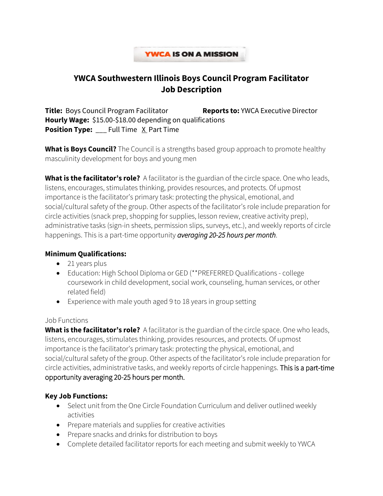## **YWCA IS ON A MISSION**

# **YWCA Southwestern Illinois Boys Council Program Facilitator Job Description**

**Title:** Boys Council Program Facilitator **Reports to:** YWCA Executive Director **Hourly Wage:** \$15.00-\$18.00 depending on qualifications **Position Type:** \_\_\_ Full Time X Part Time

**What is Boys Council?** The Council is a strengths based group approach to promote healthy masculinity development for boys and young men

**What is the facilitator's role?** A facilitator is the guardian of the circle space. One who leads, listens, encourages, stimulates thinking, provides resources, and protects. Of upmost importance is the facilitator's primary task: protecting the physical, emotional, and social/cultural safety of the group. Other aspects of the facilitator's role include preparation for circle activities (snack prep, shopping for supplies, lesson review, creative activity prep), administrative tasks (sign-in sheets, permission slips, surveys, etc.), and weekly reports of circle happenings. This is a part-time opportunity *averaging 20-25 hours per month*.

#### **Minimum Qualifications:**

- 21 years plus
- Education: High School Diploma or GED (\*\*PREFERRED Qualifications college coursework in child development, social work, counseling, human services, or other related field)
- Experience with male youth aged 9 to 18 years in group setting

#### Job Functions

**What is the facilitator's role?** A facilitator is the guardian of the circle space. One who leads, listens, encourages, stimulates thinking, provides resources, and protects. Of upmost importance is the facilitator's primary task: protecting the physical, emotional, and social/cultural safety of the group. Other aspects of the facilitator's role include preparation for circle activities, administrative tasks, and weekly reports of circle happenings. This is a part-time opportunity averaging 20-25 hours per month.

## **Key Job Functions:**

- Select unit from the One Circle Foundation Curriculum and deliver outlined weekly activities
- Prepare materials and supplies for creative activities
- Prepare snacks and drinks for distribution to boys
- Complete detailed facilitator reports for each meeting and submit weekly to YWCA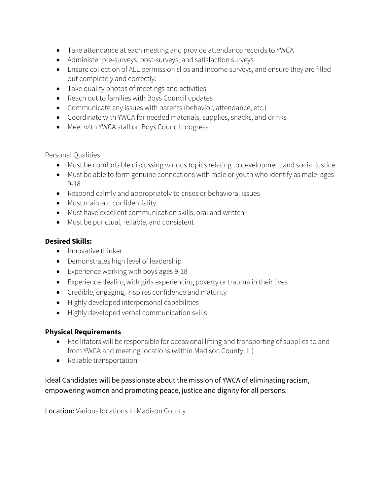- Take attendance at each meeting and provide attendance records to YWCA
- Administer pre-surveys, post-surveys, and satisfaction surveys
- Ensure collection of ALL permission slips and income surveys, and ensure they are filled out completely and correctly.
- Take quality photos of meetings and activities
- Reach out to families with Boys Council updates
- Communicate any issues with parents (behavior, attendance, etc.)
- Coordinate with YWCA for needed materials, supplies, snacks, and drinks
- Meet with YWCA staff on Boys Council progress

Personal Qualities

- Must be comfortable discussing various topics relating to development and social justice
- Must be able to form genuine connections with male or youth who identify as male ages 9-18
- Respond calmly and appropriately to crises or behavioral issues
- Must maintain confidentiality
- Must have excellent communication skills, oral and written
- Must be punctual, reliable, and consistent

# **Desired Skills:**

- Innovative thinker
- Demonstrates high level of leadership
- Experience working with boys ages 9-18
- Experience dealing with girls experiencing poverty or trauma in their lives
- Credible, engaging, inspires confidence and maturity
- Highly developed interpersonal capabilities
- Highly developed verbal communication skills

## **Physical Requirements**

- Facilitators will be responsible for occasional lifting and transporting of supplies to and from YWCA and meeting locations (within Madison County, IL)
- Reliable transportation

# Ideal Candidates will be passionate about the mission of YWCA of eliminating racism, empowering women and promoting peace, justice and dignity for all persons.

Location: Various locations in Madison County